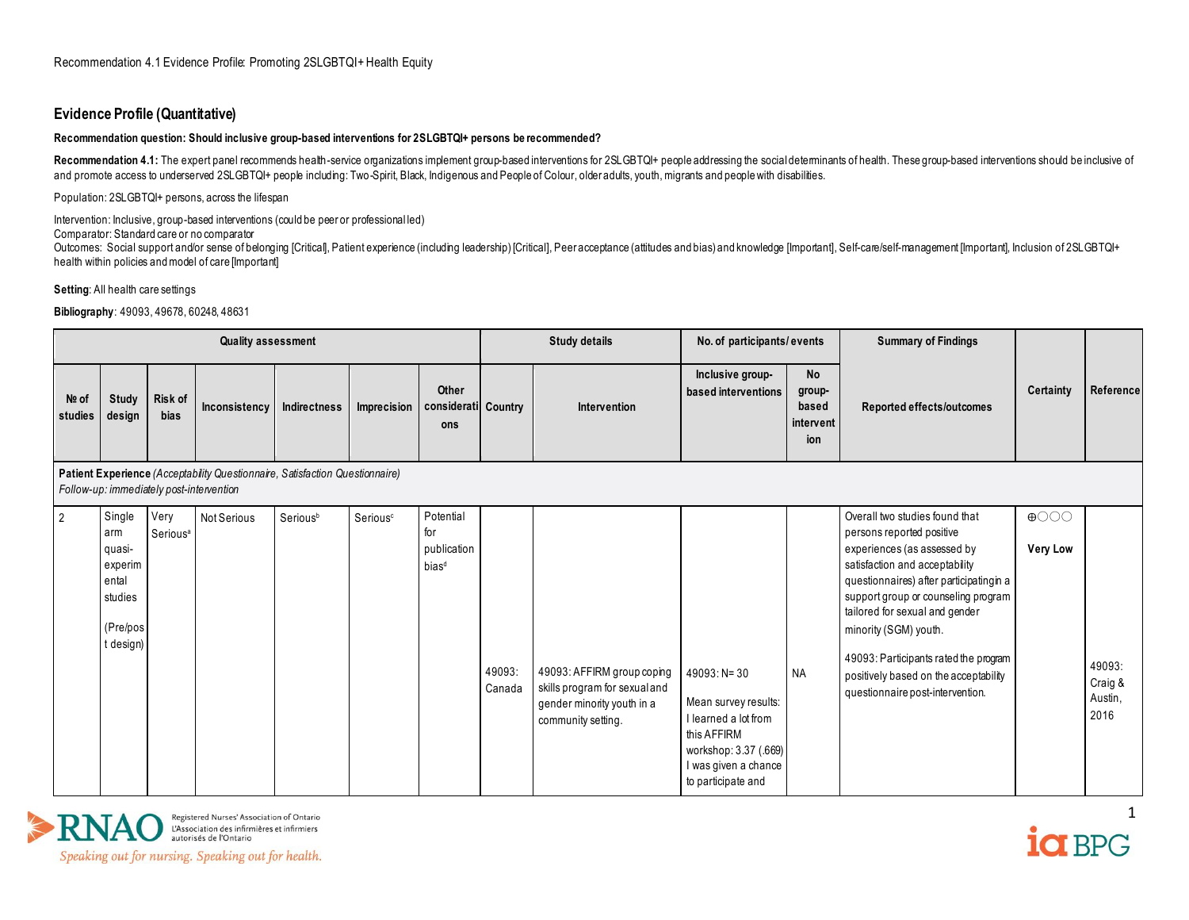# **Evidence Profile (Quantitative)**

#### **Recommendation question: Should inclusive group-based interventions for 2SLGBTQI+ persons be recommended?**

Recommendation 4.1: The expert panel recommends health-service organizations implement group-based interventions for 2SLGBTQI+ people addressing the social determinants of health. These group-based interventions should be and promote access to underserved 2SLGBTQI+ people including: Two-Spirit, Black, Indigenous and People of Colour, older adults, youth, migrants and people with disabilities.

Population: 2SLGBTQI+ persons, across the lifespan

Intervention: Inclusive, group-based interventions (could be peer or professional led)

Comparator: Standard care or no comparator

Outcomes: Social support and/or sense of belonging [Critical], Patient experience (including leadership) [Critical], Peer acceptance (attitudes and bias) and knowledge [Important], Self-care/self-management [Important], In health within policies and model of care [Important]

#### **Setting**: All health care settings

**Bibliography**: 49093, 49678, 60248, 48631

|                  | <b>Quality assessment</b>                                                       |                                          |                                                                              |              |                      |                                                      | <b>Study details</b> |                                                                                                                 | No. of participants/events                                                                                                                            |                                                  | <b>Summary of Findings</b>                                                                                                                                                                                                                                                                                                                                                                      |                                                      |                                      |
|------------------|---------------------------------------------------------------------------------|------------------------------------------|------------------------------------------------------------------------------|--------------|----------------------|------------------------------------------------------|----------------------|-----------------------------------------------------------------------------------------------------------------|-------------------------------------------------------------------------------------------------------------------------------------------------------|--------------------------------------------------|-------------------------------------------------------------------------------------------------------------------------------------------------------------------------------------------------------------------------------------------------------------------------------------------------------------------------------------------------------------------------------------------------|------------------------------------------------------|--------------------------------------|
| Nº of<br>studies | Study<br>design                                                                 | Risk of<br><b>bias</b>                   | Inconsistency                                                                | Indirectness | <b>Imprecision</b>   | Other<br>considerati Country<br>ons                  |                      | Intervention                                                                                                    | Inclusive group-<br>based interventions                                                                                                               | <b>No</b><br>group-<br>based<br>intervent<br>ion | Reported effects/outcomes                                                                                                                                                                                                                                                                                                                                                                       | Certainty                                            | Reference                            |
|                  |                                                                                 | Follow-up: immediately post-intervention | Patient Experience (Acceptability Questionnaire, Satisfaction Questionnaire) |              |                      |                                                      |                      |                                                                                                                 |                                                                                                                                                       |                                                  |                                                                                                                                                                                                                                                                                                                                                                                                 |                                                      |                                      |
| $\overline{2}$   | Single<br>arm<br>quasi-<br>experim<br>ental<br>studies<br>(Pre/pos<br>t design) | Very<br>Serious <sup>a</sup>             | Not Serious                                                                  | Seriousb     | Serious <sup>c</sup> | Potential<br>for<br>publication<br>bias <sup>d</sup> | 49093:<br>Canada     | 49093: AFFIRM group coping<br>skills program for sexual and<br>gender minority youth in a<br>community setting. | $49093: N = 30$<br>Mean survey results:<br>I learned a lot from<br>this AFFIRM<br>workshop: 3.37 (.669)<br>I was given a chance<br>to participate and | <b>NA</b>                                        | Overall two studies found that<br>persons reported positive<br>experiences (as assessed by<br>satisfaction and acceptability<br>questionnaires) after participatingin a<br>support group or counseling program<br>tailored for sexual and gender<br>minority (SGM) youth.<br>49093: Participants rated the program<br>positively based on the acceptability<br>questionnaire post-intervention. | $\bigoplus$ $\bigcirc$ $\bigcirc$<br><b>Very Low</b> | 49093:<br>Craig &<br>Austin,<br>2016 |



Registered Nurses' Association of Ontario<br>L'Association des infirmières et infirmiers<br>autorisés de l'Ontario

1 ia BPG

Speaking out for nursing. Speaking out for health.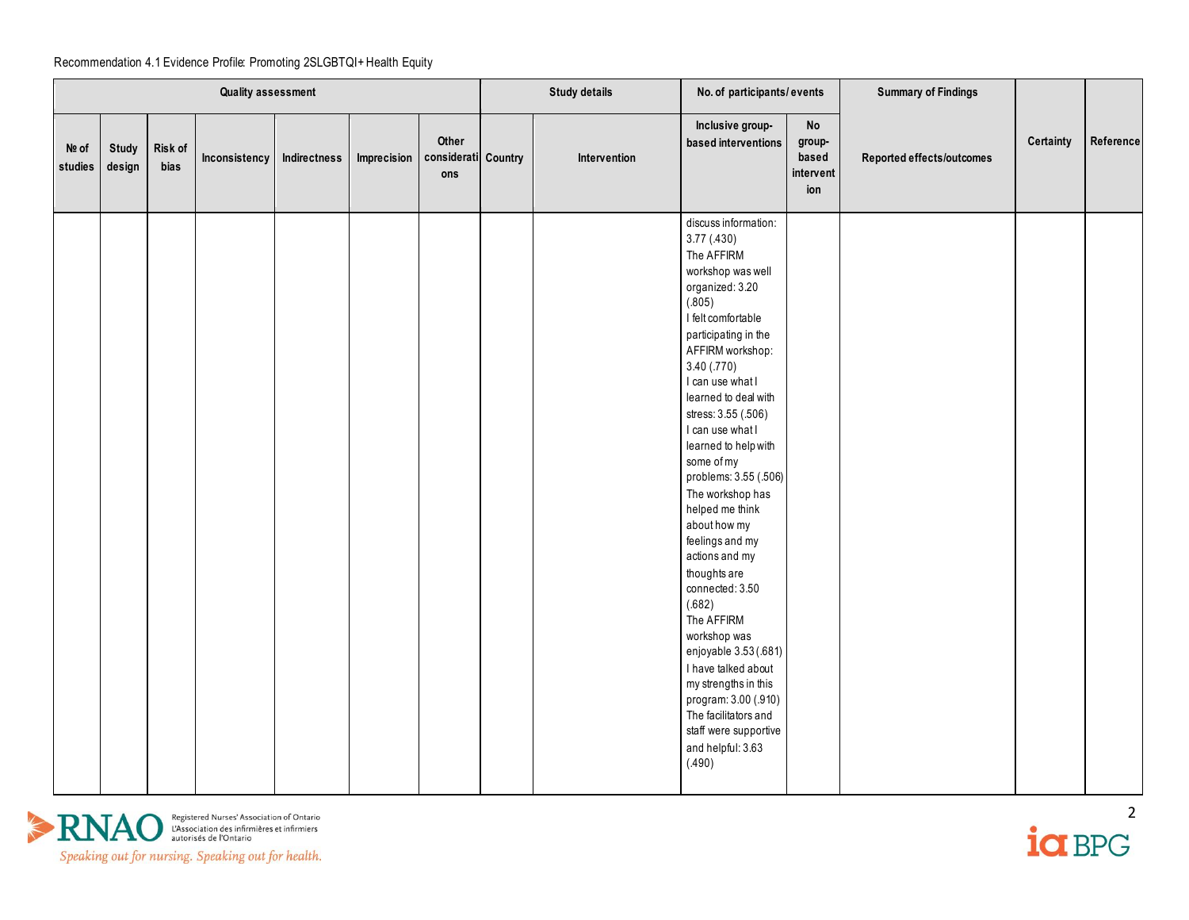| <b>Quality assessment</b> |                        |                 |               |              |             | <b>Study details</b>                |  | No. of participants/events |                                                                                                                                                                                                                                                                                                                                                                                                                                                                                                                                                                                                                                                                                                 | <b>Summary of Findings</b>                |                           |           |           |
|---------------------------|------------------------|-----------------|---------------|--------------|-------------|-------------------------------------|--|----------------------------|-------------------------------------------------------------------------------------------------------------------------------------------------------------------------------------------------------------------------------------------------------------------------------------------------------------------------------------------------------------------------------------------------------------------------------------------------------------------------------------------------------------------------------------------------------------------------------------------------------------------------------------------------------------------------------------------------|-------------------------------------------|---------------------------|-----------|-----------|
| Nº of<br>studies          | <b>Study</b><br>design | Risk of<br>bias | Inconsistency | Indirectness | Imprecision | Other<br>considerati Country<br>ons |  | Intervention               | Inclusive group-<br>based interventions                                                                                                                                                                                                                                                                                                                                                                                                                                                                                                                                                                                                                                                         | No<br>group-<br>based<br>intervent<br>ion | Reported effects/outcomes | Certainty | Reference |
|                           |                        |                 |               |              |             |                                     |  |                            | discuss information:<br>3.77(430)<br>The AFFIRM<br>workshop was well<br>organized: 3.20<br>(.805)<br>I felt comfortable<br>participating in the<br>AFFIRM workshop:<br>3.40(0.770)<br>I can use what I<br>learned to deal with<br>stress: 3.55 (.506)<br>I can use what I<br>learned to help with<br>some of my<br>problems: 3.55 (.506)<br>The workshop has<br>helped me think<br>about how my<br>feelings and my<br>actions and my<br>thoughts are<br>connected: 3.50<br>(.682)<br>The AFFIRM<br>workshop was<br>enjoyable 3.53 (.681)<br>I have talked about<br>my strengths in this<br>program: 3.00 (.910)<br>The facilitators and<br>staff were supportive<br>and helpful: 3.63<br>(.490) |                                           |                           |           |           |



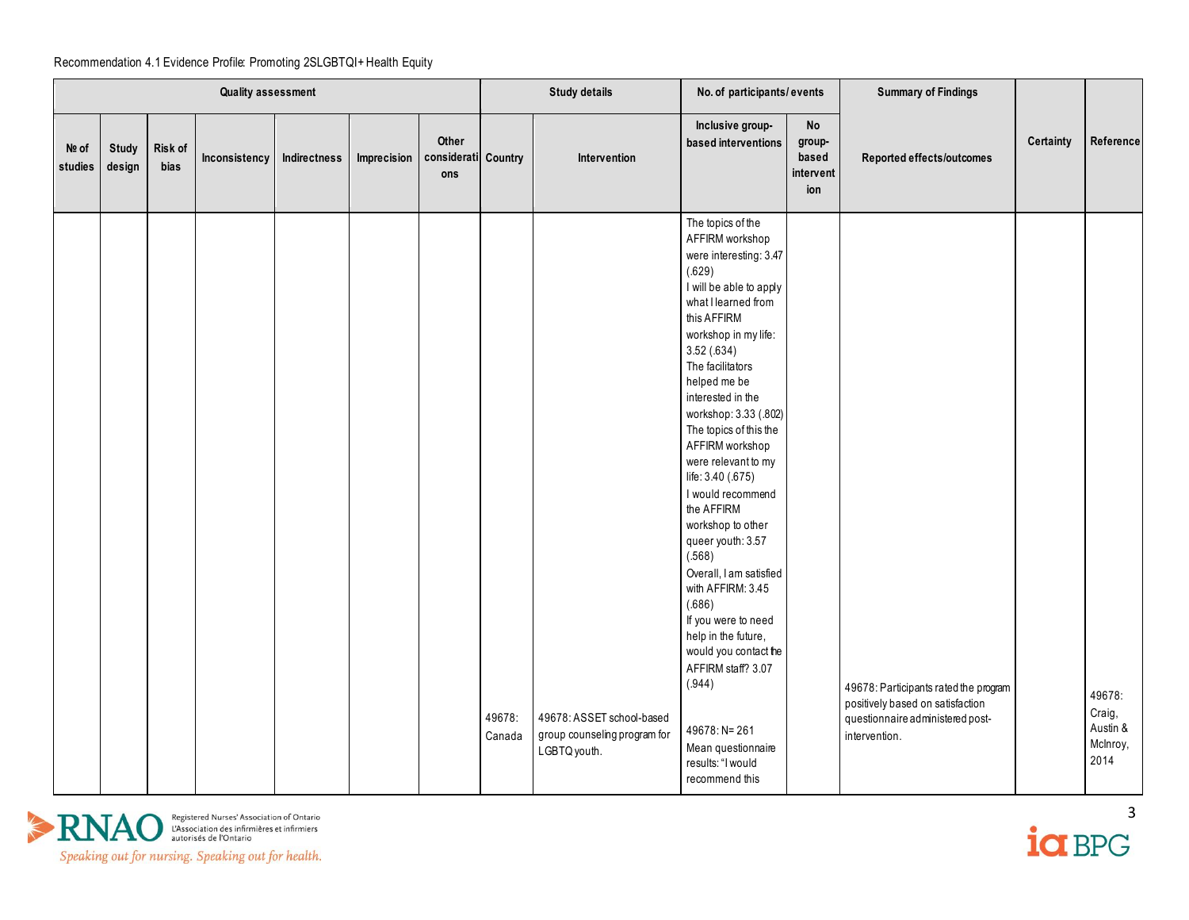| Quality assessment |                        |                 |               | <b>Study details</b> |             | No. of participants/events          |                  | <b>Summary of Findings</b>                                                |                                                                                                                                                                                                                                                                                                                                                                                                                                                                                                                                                                                                                                                                                                  |                                           |                                                                                                                                |           |                                                  |
|--------------------|------------------------|-----------------|---------------|----------------------|-------------|-------------------------------------|------------------|---------------------------------------------------------------------------|--------------------------------------------------------------------------------------------------------------------------------------------------------------------------------------------------------------------------------------------------------------------------------------------------------------------------------------------------------------------------------------------------------------------------------------------------------------------------------------------------------------------------------------------------------------------------------------------------------------------------------------------------------------------------------------------------|-------------------------------------------|--------------------------------------------------------------------------------------------------------------------------------|-----------|--------------------------------------------------|
| Nº of<br>studies   | <b>Study</b><br>design | Risk of<br>bias | Inconsistency | Indirectness         | Imprecision | Other<br>considerati Country<br>ons |                  | Intervention                                                              | Inclusive group-<br>based interventions                                                                                                                                                                                                                                                                                                                                                                                                                                                                                                                                                                                                                                                          | No<br>group-<br>based<br>intervent<br>ion | Reported effects/outcomes                                                                                                      | Certainty | Reference                                        |
|                    |                        |                 |               |                      |             |                                     | 49678:<br>Canada | 49678: ASSET school-based<br>group counseling program for<br>LGBTQ youth. | The topics of the<br>AFFIRM workshop<br>were interesting: 3.47<br>(.629)<br>I will be able to apply<br>what I learned from<br>this AFFIRM<br>workshop in my life:<br>3.52(.634)<br>The facilitators<br>helped me be<br>interested in the<br>workshop: 3.33 (.802)<br>The topics of this the<br>AFFIRM workshop<br>were relevant to my<br>life: 3.40 (.675)<br>I would recommend<br>the AFFIRM<br>workshop to other<br>queer youth: 3.57<br>(.568)<br>Overall, I am satisfied<br>with AFFIRM: 3.45<br>(.686)<br>If you were to need<br>help in the future,<br>would you contact the<br>AFFIRM staff? 3.07<br>(.944)<br>49678: N= 261<br>Mean questionnaire<br>results: "I would<br>recommend this |                                           | 49678: Participants rated the program<br>positively based on satisfaction<br>questionnaire administered post-<br>intervention. |           | 49678:<br>Craig,<br>Austin &<br>McInroy,<br>2014 |



ia BPG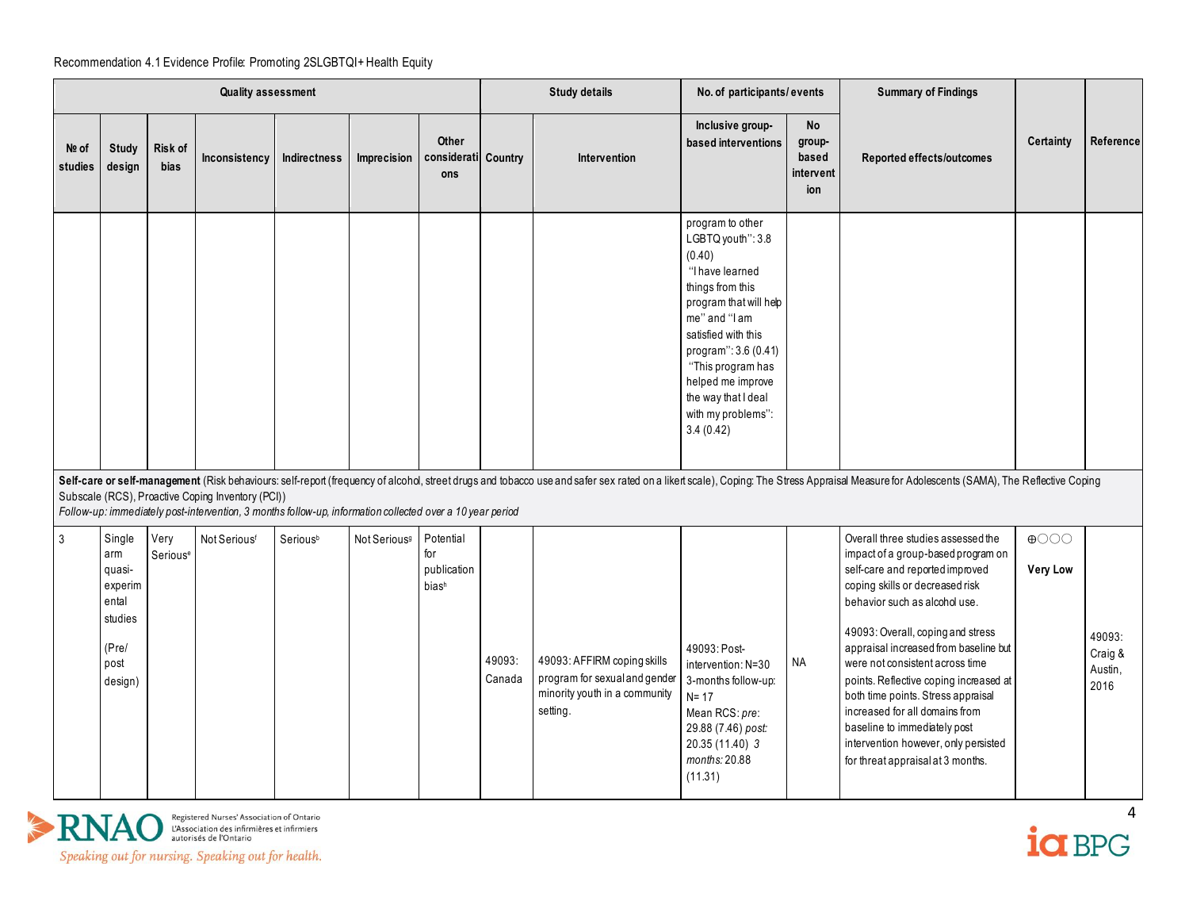|                  | <b>Quality assessment</b>                                                          |                              |                                                                                                                                       |                      |                          |                                          | <b>Study details</b> |                                                                                                           | No. of participants/events                                                                                                                                                                                                                                                           |                                                      | <b>Summary of Findings</b>                                                                                                                                                                                                                                                                                                                                                                                                                                                                                                      |                                                      |                                      |
|------------------|------------------------------------------------------------------------------------|------------------------------|---------------------------------------------------------------------------------------------------------------------------------------|----------------------|--------------------------|------------------------------------------|----------------------|-----------------------------------------------------------------------------------------------------------|--------------------------------------------------------------------------------------------------------------------------------------------------------------------------------------------------------------------------------------------------------------------------------------|------------------------------------------------------|---------------------------------------------------------------------------------------------------------------------------------------------------------------------------------------------------------------------------------------------------------------------------------------------------------------------------------------------------------------------------------------------------------------------------------------------------------------------------------------------------------------------------------|------------------------------------------------------|--------------------------------------|
| Nº of<br>studies | <b>Study</b><br>design                                                             | Risk of<br>bias              | Inconsistency                                                                                                                         | <b>Indirectness</b>  | Imprecision              | Other<br>considerati Country<br>ons      |                      | Intervention                                                                                              | Inclusive group-<br>based interventions                                                                                                                                                                                                                                              | $\mathsf{No}$<br>group-<br>based<br>intervent<br>ion | Reported effects/outcomes                                                                                                                                                                                                                                                                                                                                                                                                                                                                                                       | Certainty                                            | Reference                            |
|                  |                                                                                    |                              | Subscale (RCS), Proactive Coping Inventory (PCI))                                                                                     |                      |                          |                                          |                      |                                                                                                           | program to other<br>LGBTQ youth": 3.8<br>(0.40)<br>"I have learned<br>things from this<br>program that will help<br>me" and "I am<br>satisfied with this<br>program": 3.6 (0.41)<br>"This program has<br>helped me improve<br>the way that I deal<br>with my problems":<br>3.4(0.42) |                                                      | Self-care or self-management (Risk behaviours: self-report (frequency of alcohol, street drugs and tobacco use and safer sex rated on a likert scale), Coping: The Stress Appraisal Measure for Adolescents (SAMA), The Reflec                                                                                                                                                                                                                                                                                                  |                                                      |                                      |
| $\mathfrak{Z}$   | Single<br>arm<br>quasi-<br>experim<br>ental<br>studies<br>(Pre/<br>post<br>design) | Very<br>Serious <sup>e</sup> | Follow-up: immediately post-intervention, 3 months follow-up, information collected over a 10 year period<br>Not Serious <sup>f</sup> | Serious <sup>b</sup> | Not Serious <sup>9</sup> | Potential<br>for<br>publication<br>biash | 49093:<br>Canada     | 49093: AFFIRM coping skills<br>program for sexual and gender<br>minority youth in a community<br>setting. | 49093: Post-<br>intervention: N=30<br>3-months follow-up:<br>$N = 17$<br>Mean RCS: pre:<br>29.88 (7.46) post:<br>20.35 (11.40) 3<br>months: 20.88<br>(11.31)                                                                                                                         | <b>NA</b>                                            | Overall three studies assessed the<br>impact of a group-based program on<br>self-care and reported improved<br>coping skills or decreased risk<br>behavior such as alcohol use.<br>49093: Overall, coping and stress<br>appraisal increased from baseline but<br>were not consistent across time<br>points. Reflective coping increased at<br>both time points. Stress appraisal<br>increased for all domains from<br>baseline to immediately post<br>intervention however, only persisted<br>for threat appraisal at 3 months. | $\bigoplus$ $\bigcirc$ $\bigcirc$<br><b>Very Low</b> | 49093:<br>Craig &<br>Austin,<br>2016 |



Registered Nurses' Association of Ontario<br>L'Association des infirmières et infirmiers<br>autorisés de l'Ontario

 $i\alpha$  BPG

Speaking out for nursing. Speaking out for health.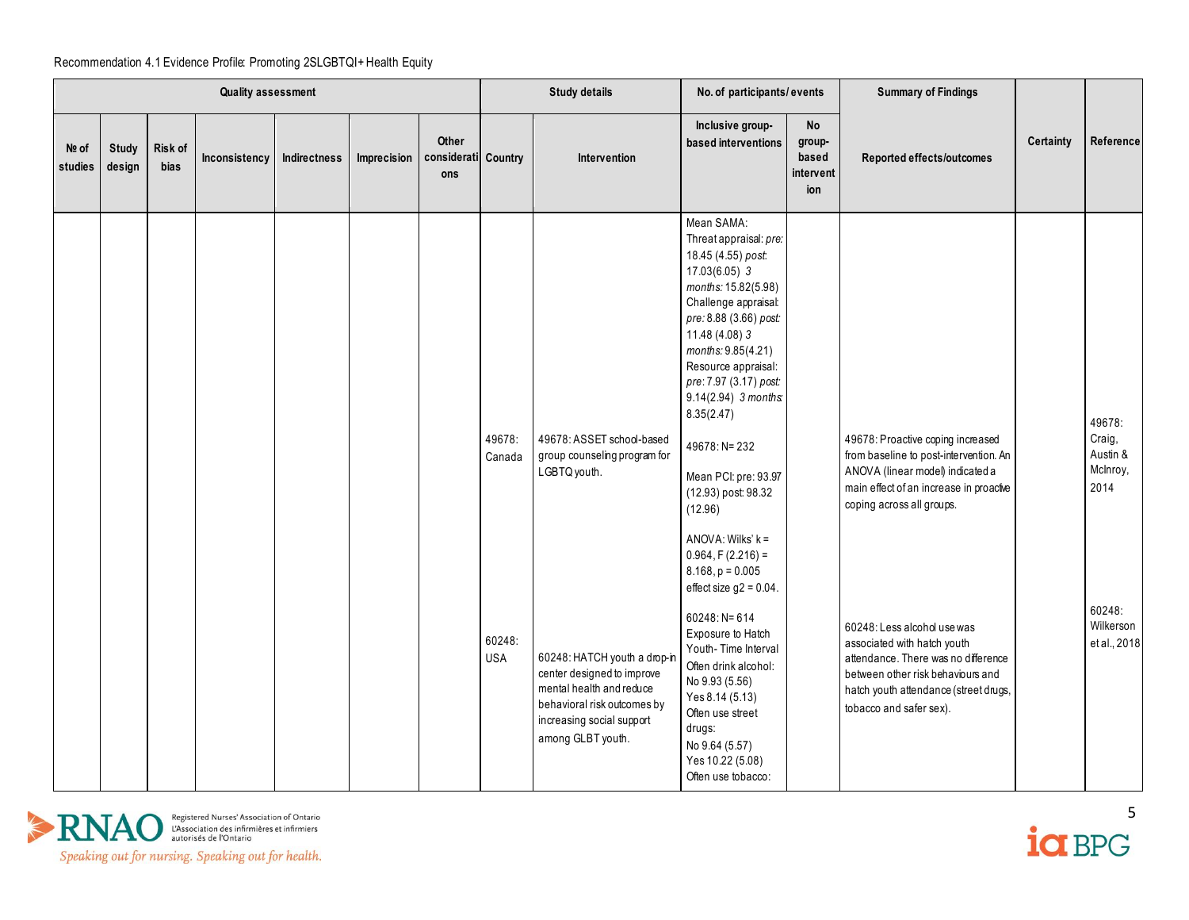|                  | <b>Quality assessment</b> |                 |               |              |             |                                     | <b>Study details</b> |                                                                                                                                                                         | No. of participants/events                                                                                                                                                                                                                                                                                                                                                                                                                                        |                                           | <b>Summary of Findings</b>                                                                                                                                                                                 |           |                                                  |
|------------------|---------------------------|-----------------|---------------|--------------|-------------|-------------------------------------|----------------------|-------------------------------------------------------------------------------------------------------------------------------------------------------------------------|-------------------------------------------------------------------------------------------------------------------------------------------------------------------------------------------------------------------------------------------------------------------------------------------------------------------------------------------------------------------------------------------------------------------------------------------------------------------|-------------------------------------------|------------------------------------------------------------------------------------------------------------------------------------------------------------------------------------------------------------|-----------|--------------------------------------------------|
| Nº of<br>studies | <b>Study</b><br>design    | Risk of<br>bias | Inconsistency | Indirectness | Imprecision | Other<br>considerati Country<br>ons |                      | Intervention                                                                                                                                                            | Inclusive group-<br>based interventions                                                                                                                                                                                                                                                                                                                                                                                                                           | No<br>group-<br>based<br>intervent<br>ion | Reported effects/outcomes                                                                                                                                                                                  | Certainty | Reference                                        |
|                  |                           |                 |               |              |             |                                     | 49678:<br>Canada     | 49678: ASSET school-based<br>group counseling program for<br>LGBTQ youth.                                                                                               | Mean SAMA:<br>Threat appraisal: pre:<br>18.45 (4.55) post:<br>17.03(6.05) 3<br>months: 15.82(5.98)<br>Challenge appraisal:<br>pre: 8.88 (3.66) post:<br>11.48 (4.08) 3<br>months: 9.85(4.21)<br>Resource appraisal:<br>pre: 7.97 (3.17) post:<br>$9.14(2.94)$ 3 months<br>8.35(2.47)<br>49678: N= 232<br>Mean PCI: pre: 93.97<br>(12.93) post: 98.32<br>(12.96)<br>ANOVA: Wilks' k =<br>$0.964, F(2.216) =$<br>$8.168$ , $p = 0.005$<br>effect size $g2 = 0.04$ . |                                           | 49678: Proactive coping increased<br>from baseline to post-intervention. An<br>ANOVA (linear model) indicated a<br>main effect of an increase in proactive<br>coping across all groups.                    |           | 49678:<br>Craig,<br>Austin &<br>McInroy,<br>2014 |
|                  |                           |                 |               |              |             |                                     | 60248:<br><b>USA</b> | 60248: HATCH youth a drop-in<br>center designed to improve<br>mental health and reduce<br>behavioral risk outcomes by<br>increasing social support<br>among GLBT youth. | $60248: N = 614$<br>Exposure to Hatch<br>Youth-Time Interval<br>Often drink alcohol:<br>No 9.93 (5.56)<br>Yes 8.14 (5.13)<br>Often use street<br>drugs:<br>No 9.64 (5.57)<br>Yes 10.22 (5.08)<br>Often use tobacco:                                                                                                                                                                                                                                               |                                           | 60248: Less alcohol use was<br>associated with hatch youth<br>attendance. There was no difference<br>between other risk behaviours and<br>hatch youth attendance (street drugs,<br>tobacco and safer sex). |           | 60248:<br>Wilkerson<br>et al., 2018              |



ia BPG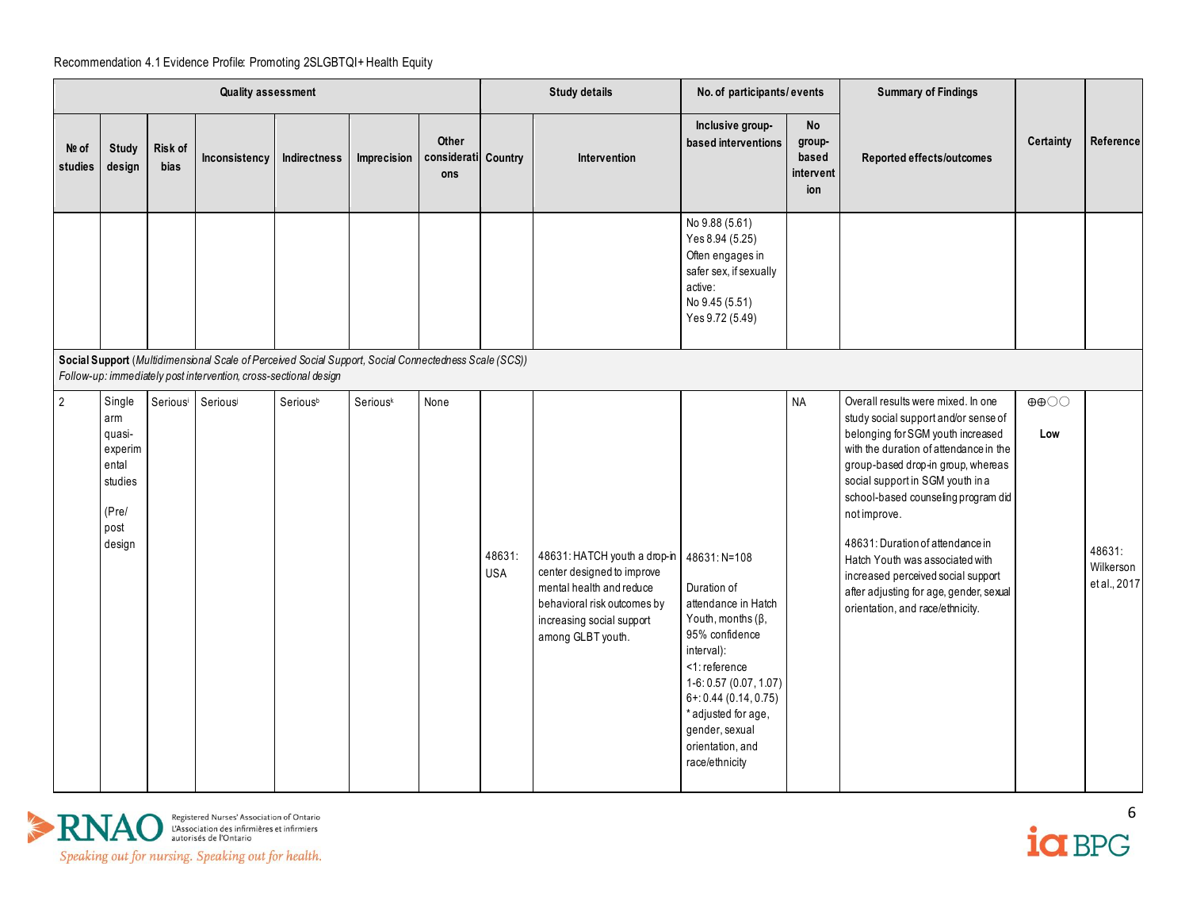| <b>Quality assessment</b> |                                                                                   |                 |                                                                                                                                                                           |              |                      | <b>Study details</b>                |                      | No. of participants/events                                                                                                                                              |                                                                                                                                                                                                                                                           | <b>Summary of Findings</b>                       |                                                                                                                                                                                                                                                                                                                                                                                                                                                                                        |                                          |                                     |
|---------------------------|-----------------------------------------------------------------------------------|-----------------|---------------------------------------------------------------------------------------------------------------------------------------------------------------------------|--------------|----------------------|-------------------------------------|----------------------|-------------------------------------------------------------------------------------------------------------------------------------------------------------------------|-----------------------------------------------------------------------------------------------------------------------------------------------------------------------------------------------------------------------------------------------------------|--------------------------------------------------|----------------------------------------------------------------------------------------------------------------------------------------------------------------------------------------------------------------------------------------------------------------------------------------------------------------------------------------------------------------------------------------------------------------------------------------------------------------------------------------|------------------------------------------|-------------------------------------|
| Nº of<br>studies          | <b>Study</b><br>design                                                            | Risk of<br>bias | Inconsistency                                                                                                                                                             | Indirectness | Imprecision          | Other<br>considerati Country<br>ons |                      | Intervention                                                                                                                                                            | Inclusive group-<br>based interventions                                                                                                                                                                                                                   | <b>No</b><br>group-<br>based<br>intervent<br>ion | Reported effects/outcomes                                                                                                                                                                                                                                                                                                                                                                                                                                                              | Certainty                                | Reference                           |
|                           |                                                                                   |                 |                                                                                                                                                                           |              |                      |                                     |                      |                                                                                                                                                                         | No 9.88 (5.61)<br>Yes 8.94 (5.25)<br>Often engages in<br>safer sex, if sexually<br>active:<br>No 9.45 (5.51)<br>Yes 9.72 (5.49)                                                                                                                           |                                                  |                                                                                                                                                                                                                                                                                                                                                                                                                                                                                        |                                          |                                     |
|                           |                                                                                   |                 | Social Support (Multidimensional Scale of Perceived Social Support, Social Connectedness Scale (SCS))<br>Follow-up: immediately post intervention, cross-sectional design |              |                      |                                     |                      |                                                                                                                                                                         |                                                                                                                                                                                                                                                           |                                                  |                                                                                                                                                                                                                                                                                                                                                                                                                                                                                        |                                          |                                     |
| $\overline{2}$            | Single<br>arm<br>quasi-<br>experim<br>ental<br>studies<br>(Pre/<br>post<br>design | Seriousi        | Seriousi                                                                                                                                                                  | Seriousb     | Serious <sup>k</sup> | None                                | 48631:<br><b>USA</b> | 48631: HATCH youth a drop-in<br>center designed to improve<br>mental health and reduce<br>behavioral risk outcomes by<br>increasing social support<br>among GLBT youth. | 48631:N=108<br>Duration of<br>attendance in Hatch<br>Youth, months (β,<br>95% confidence<br>interval):<br><1:reference<br>$1-6:0.57(0.07, 1.07)$<br>$6 + 0.44(0.14, 0.75)$<br>* adjusted for age,<br>gender, sexual<br>orientation, and<br>race/ethnicity | <b>NA</b>                                        | Overall results were mixed. In one<br>study social support and/or sense of<br>belonging for SGM youth increased<br>with the duration of attendance in the<br>group-based drop-in group, whereas<br>social support in SGM youth in a<br>school-based counseling program did<br>not improve.<br>48631: Duration of attendance in<br>Hatch Youth was associated with<br>increased perceived social support<br>after adjusting for age, gender, sexual<br>orientation, and race/ethnicity. | $\oplus \oplus \bigcirc \bigcirc$<br>Low | 48631:<br>Wilkerson<br>et al., 2017 |



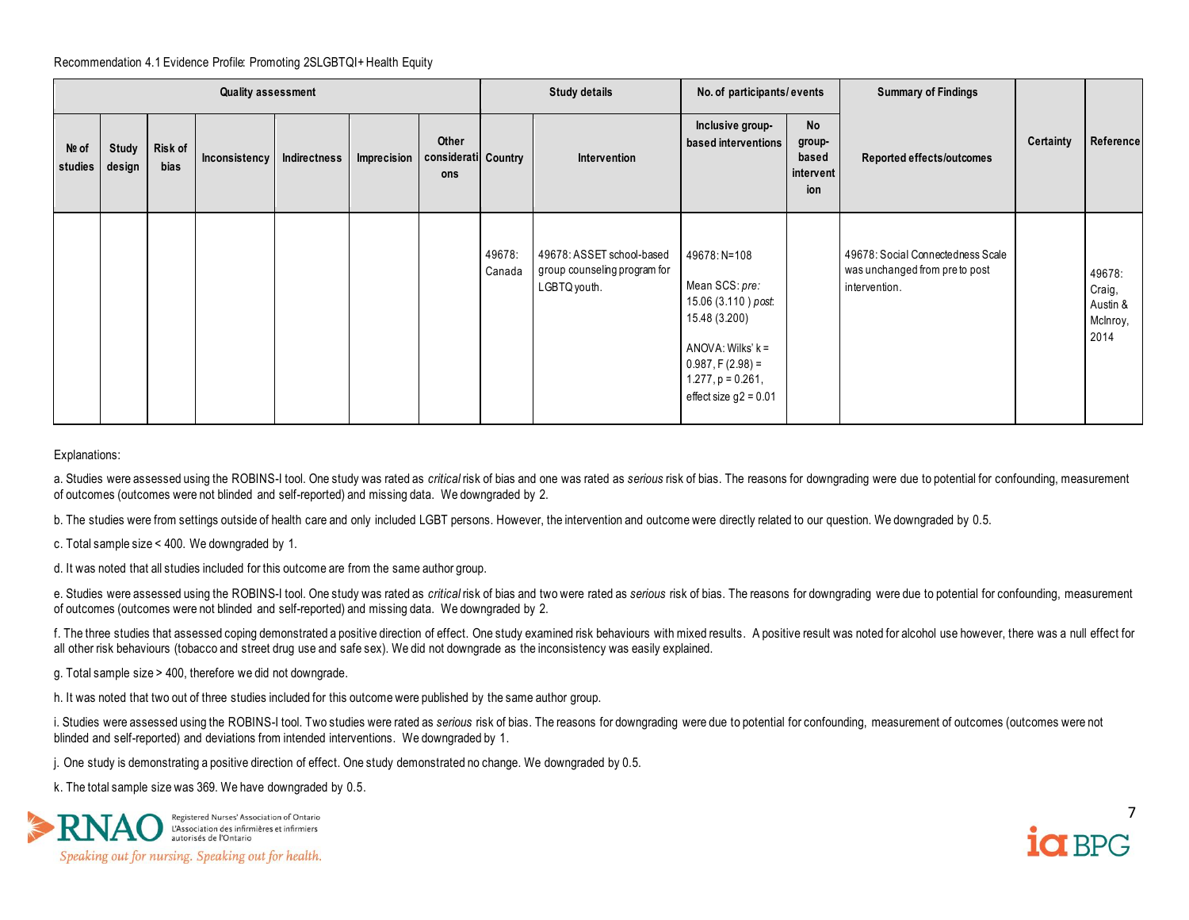|                  | <b>Quality assessment</b> |                 |               |              |                                 |              | <b>Study details</b> |                                                                           | No. of participants/events                                                                                                                                              |                                                  | <b>Summary of Findings</b>                                                           |           |                                                  |
|------------------|---------------------------|-----------------|---------------|--------------|---------------------------------|--------------|----------------------|---------------------------------------------------------------------------|-------------------------------------------------------------------------------------------------------------------------------------------------------------------------|--------------------------------------------------|--------------------------------------------------------------------------------------|-----------|--------------------------------------------------|
| Nº of<br>studies | <b>Study</b><br>design    | Risk of<br>bias | Inconsistency | Indirectness | Imprecision considerati Country | Other<br>ons |                      | <b>Intervention</b>                                                       | Inclusive group-<br>based interventions                                                                                                                                 | <b>No</b><br>group-<br>based<br>intervent<br>ion | Reported effects/outcomes                                                            | Certainty | Reference                                        |
|                  |                           |                 |               |              |                                 |              | 49678:<br>Canada     | 49678: ASSET school-based<br>group counseling program for<br>LGBTQ youth. | 49678: N=108<br>Mean SCS: pre:<br>15.06 (3.110) post.<br>15.48 (3.200)<br>ANOVA: Wilks' k =<br>$0.987, F(2.98) =$<br>$1.277$ , $p = 0.261$ ,<br>effect size $g2 = 0.01$ |                                                  | 49678: Social Connectedness Scale<br>was unchanged from pre to post<br>intervention. |           | 49678:<br>Craig,<br>Austin &<br>McInroy,<br>2014 |

#### Explanations:

a. Studies were assessed using the ROBINS-I tool. One study was rated as critical risk of bias and one was rated as serious risk of bias. The reasons for downgrading were due to potential for confounding, measurement of outcomes (outcomes were not blinded and self-reported) and missing data. We downgraded by 2.

b. The studies were from settings outside of health care and only included LGBT persons. However, the intervention and outcome were directly related to our question. We downgraded by 0.5.

c. Total sample size < 400. We downgraded by 1.

d. It was noted that all studies included for this outcome are from the same author group.

e. Studies were assessed using the ROBINS-I tool. One study was rated as *critical* risk of bias and two were rated as serious risk of bias. The reasons for downgrading were due to potential for confounding, measurement of outcomes (outcomes were not blinded and self-reported) and missing data. We downgraded by 2.

f. The three studies that assessed coping demonstrated a positive direction of effect. One study examined risk behaviours with mixed results. A positive result was noted for alcohol use however, there was a null effect for all other risk behaviours (tobacco and street drug use and safe sex). We did not downgrade as the inconsistency was easily explained.

g. Total sample size > 400, therefore we did not downgrade.

h. It was noted that two out of three studies included for this outcome were published by the same author group.

i. Studies were assessed using the ROBINS-I tool. Two studies were rated as *serious* risk of bias. The reasons for downgrading were due to potential for confounding, measurement of outcomes (outcomes were not blinded and self-reported) and deviations from intended interventions. We downgraded by 1.

j. One study is demonstrating a positive direction of effect. One study demonstrated no change. We downgraded by 0.5.

k. The total sample size was 369. We have downgraded by 0.5.

Registered Nurses' Association of Ontario L'Association des infirmières et infirmiers<br>autorisés de l'Ontario Speaking out for nursing. Speaking out for health.

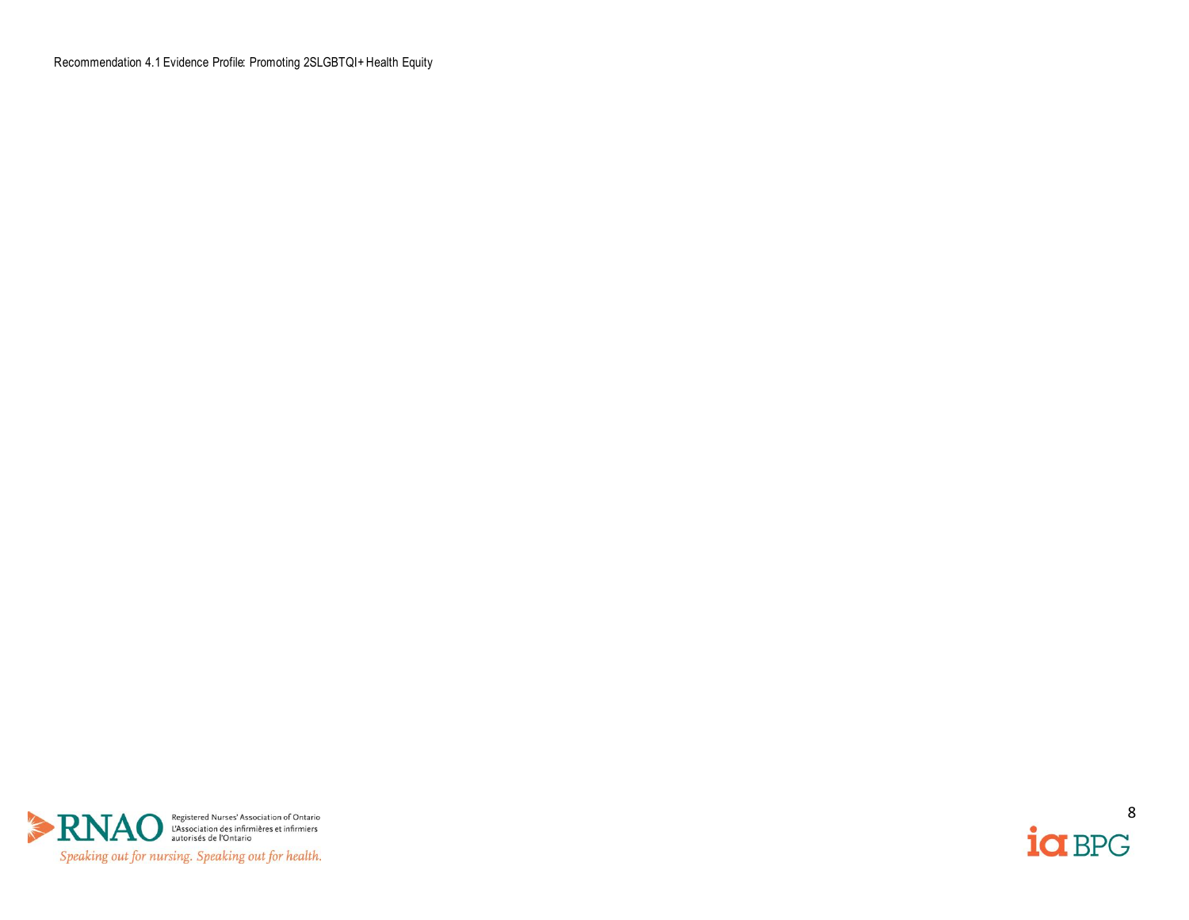

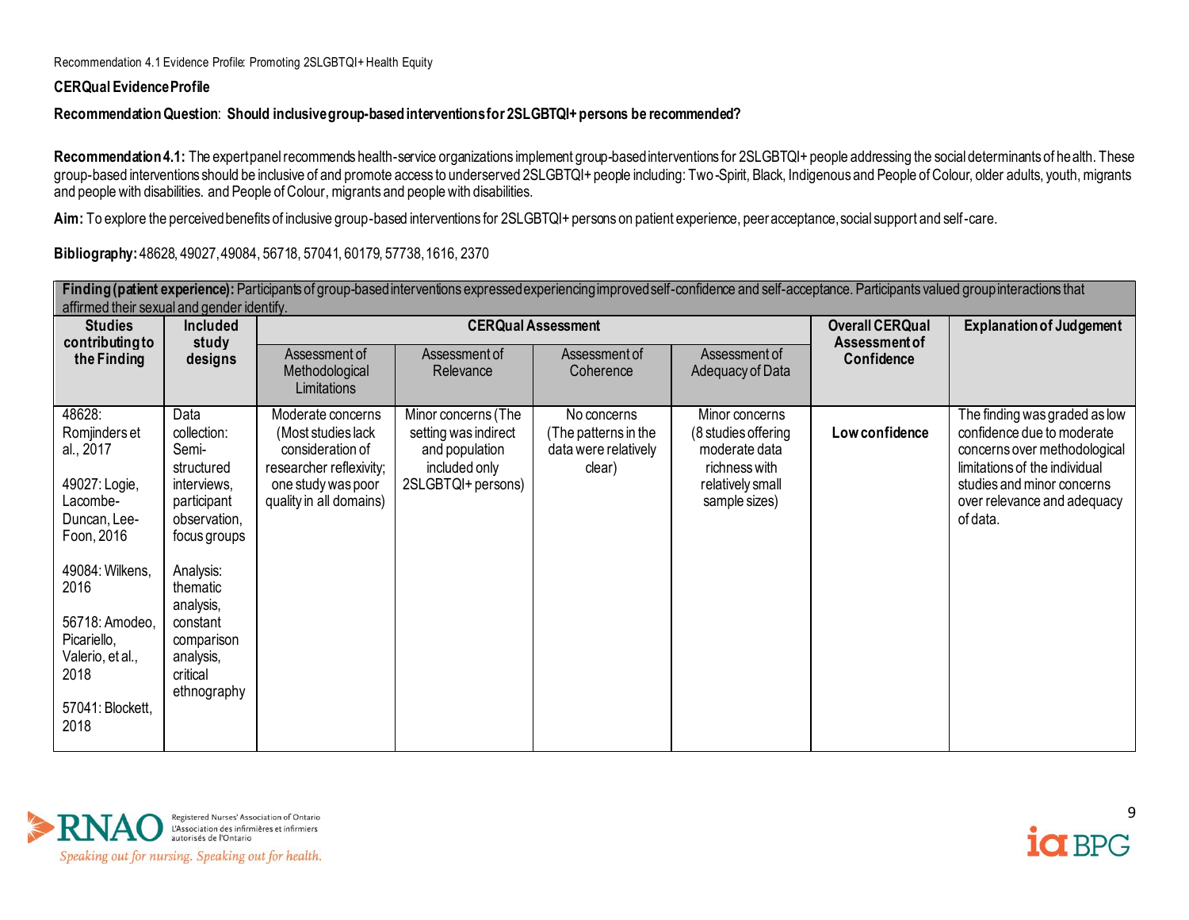### **CERQual Evidence Profile**

**Recommendation Question**: **Should inclusive group-based interventions for 2SLGBTQI+ persons be recommended?**

Recommendation 4.1: The expert panel recommends health-service organizations implement group-based interventions for 2SLGBTQI+ people addressing the social determinants of health. These group-based interventions should be inclusive of and promote access to underserved 2SLGBTQI+ people including: Two -Spirit, Black, Indigenous and People of Colour, older adults, youth, migrants and people with disabilities. and People of Colour, migrants and people with disabilities.

**Aim:** To explore the perceived benefits of inclusive group-based interventions for 2SLGBTQI+ persons on patient experience, peer acceptance, social support and self-care.

**Bibliography:** 48628, 49027, 49084, 56718, 57041, 60179, 57738, 1616, 2370

| Finding (patient experience): Participants of group-based interventions expressed experiencing improved self-confidence and self-acceptance. Participants valued group interactions that<br>affirmed their sexual and gender identify. |                                                                                                                                                                                                                  |                                                                                                                                         |                                                                                                      |                                                                       |                                                                                                              |                                    |                                                                                                                                                                                                       |  |  |  |  |  |
|----------------------------------------------------------------------------------------------------------------------------------------------------------------------------------------------------------------------------------------|------------------------------------------------------------------------------------------------------------------------------------------------------------------------------------------------------------------|-----------------------------------------------------------------------------------------------------------------------------------------|------------------------------------------------------------------------------------------------------|-----------------------------------------------------------------------|--------------------------------------------------------------------------------------------------------------|------------------------------------|-------------------------------------------------------------------------------------------------------------------------------------------------------------------------------------------------------|--|--|--|--|--|
| <b>Studies</b><br>contributing to                                                                                                                                                                                                      | <b>Included</b>                                                                                                                                                                                                  |                                                                                                                                         |                                                                                                      | <b>CERQual Assessment</b>                                             |                                                                                                              | <b>Overall CERQual</b>             | <b>Explanation of Judgement</b>                                                                                                                                                                       |  |  |  |  |  |
| the Finding                                                                                                                                                                                                                            | study<br>designs                                                                                                                                                                                                 | Assessment of<br>Methodological<br>Limitations                                                                                          | Assessment of<br>Relevance                                                                           | Assessment of<br>Coherence                                            | Assessment of<br>Adequacy of Data                                                                            | <b>Assessment of</b><br>Confidence |                                                                                                                                                                                                       |  |  |  |  |  |
| 48628:<br>Romjinders et<br>al., 2017<br>49027: Logie,<br>Lacombe-<br>Duncan, Lee-<br>Foon, 2016<br>49084: Wilkens,<br>2016<br>56718: Amodeo,<br>Picariello,<br>Valerio, et al.,<br>2018<br>57041: Blockett,<br>2018                    | Data<br>collection:<br>Semi-<br>structured<br>interviews.<br>participant<br>observation,<br>focus groups<br>Analysis:<br>thematic<br>analysis,<br>constant<br>comparison<br>analysis,<br>critical<br>ethnography | Moderate concerns<br>(Most studies lack<br>consideration of<br>researcher reflexivity;<br>one study was poor<br>quality in all domains) | Minor concerns (The<br>setting was indirect<br>and population<br>included only<br>2SLGBTQI+ persons) | No concerns<br>(The patterns in the<br>data were relatively<br>clear) | Minor concerns<br>(8 studies offering<br>moderate data<br>richness with<br>relatively small<br>sample sizes) | Low confidence                     | The finding was graded as low<br>confidence due to moderate<br>concerns over methodological<br>limitations of the individual<br>studies and minor concerns<br>over relevance and adequacy<br>of data. |  |  |  |  |  |

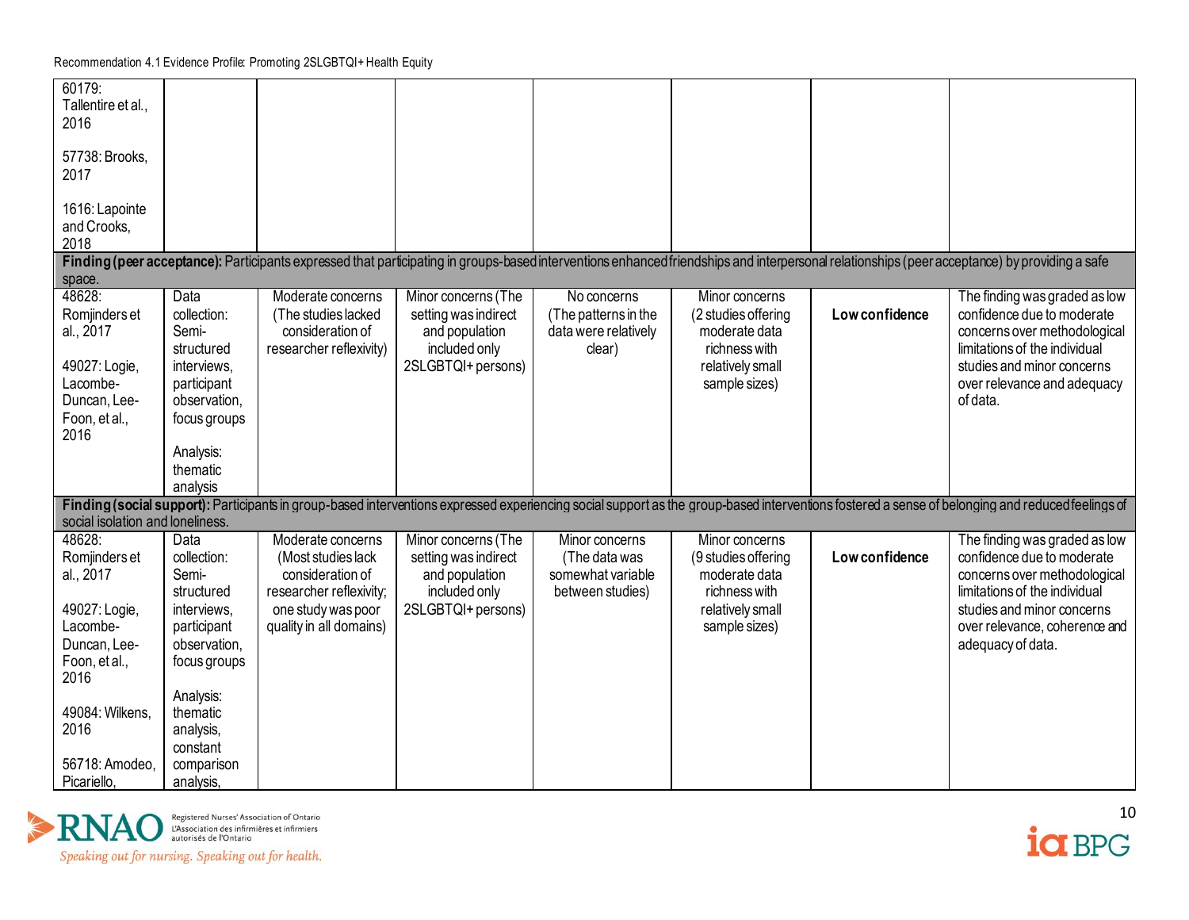| 60179:<br>Tallentire et al.,<br>2016<br>57738: Brooks,<br>2017<br>1616: Lapointe<br>and Crooks,<br>2018    |                                                                                                                                               |                                                                                                                                         |                                                                                                      |                                                                          |                                                                                                              |                |                                                                                                                                                                                                                  |
|------------------------------------------------------------------------------------------------------------|-----------------------------------------------------------------------------------------------------------------------------------------------|-----------------------------------------------------------------------------------------------------------------------------------------|------------------------------------------------------------------------------------------------------|--------------------------------------------------------------------------|--------------------------------------------------------------------------------------------------------------|----------------|------------------------------------------------------------------------------------------------------------------------------------------------------------------------------------------------------------------|
| space.                                                                                                     |                                                                                                                                               |                                                                                                                                         |                                                                                                      |                                                                          |                                                                                                              |                | Finding (peer acceptance): Participants expressed that participating in groups-based interventions enhanced friendships and interpersonal relationships (peer acceptance) by providing a safe                    |
| 48628:<br>Romjinders et<br>al., 2017<br>49027: Logie,<br>Lacombe-<br>Duncan, Lee-<br>Foon, et al.,<br>2016 | Data<br>collection:<br>Semi-<br>structured<br>interviews.<br>participant<br>observation,<br>focus groups<br>Analysis:<br>thematic<br>analysis | Moderate concerns<br>(The studies lacked<br>consideration of<br>researcher reflexivity)                                                 | Minor concerns (The<br>setting was indirect<br>and population<br>included only<br>2SLGBTQI+ persons) | No concerns<br>(The patterns in the<br>data were relatively<br>clear)    | Minor concerns<br>(2 studies offering<br>moderate data<br>richness with<br>relatively small<br>sample sizes) | Low confidence | The finding was graded as low<br>confidence due to moderate<br>concerns over methodological<br>limitations of the individual<br>studies and minor concerns<br>over relevance and adequacy<br>of data.            |
| social isolation and loneliness.                                                                           |                                                                                                                                               |                                                                                                                                         |                                                                                                      |                                                                          |                                                                                                              |                | Finding (social support): Participants in group-based interventions expressed experiencing social support as the group-based interventions fostered a sense of belonging and reduced feelings of                 |
| 48628:<br>Romjinders et<br>al., 2017<br>49027: Logie,<br>Lacombe-<br>Duncan, Lee-<br>Foon, et al.,<br>2016 | Data<br>collection:<br>Semi-<br>structured<br>interviews,<br>participant<br>observation,<br>focus groups                                      | Moderate concerns<br>(Most studies lack<br>consideration of<br>researcher reflexivity;<br>one study was poor<br>quality in all domains) | Minor concerns (The<br>setting was indirect<br>and population<br>included only<br>2SLGBTQI+ persons) | Minor concerns<br>(The data was<br>somewhat variable<br>between studies) | Minor concerns<br>(9 studies offering<br>moderate data<br>richness with<br>relatively small<br>sample sizes) | Low confidence | The finding was graded as low<br>confidence due to moderate<br>concerns over methodological<br>limitations of the individual<br>studies and minor concerns<br>over relevance, coherence and<br>adequacy of data. |
| 49084: Wilkens,<br>2016<br>56718: Amodeo,<br>Picariello,                                                   | Analysis:<br>thematic<br>analysis,<br>constant<br>comparison<br>analysis,                                                                     |                                                                                                                                         |                                                                                                      |                                                                          |                                                                                                              |                |                                                                                                                                                                                                                  |